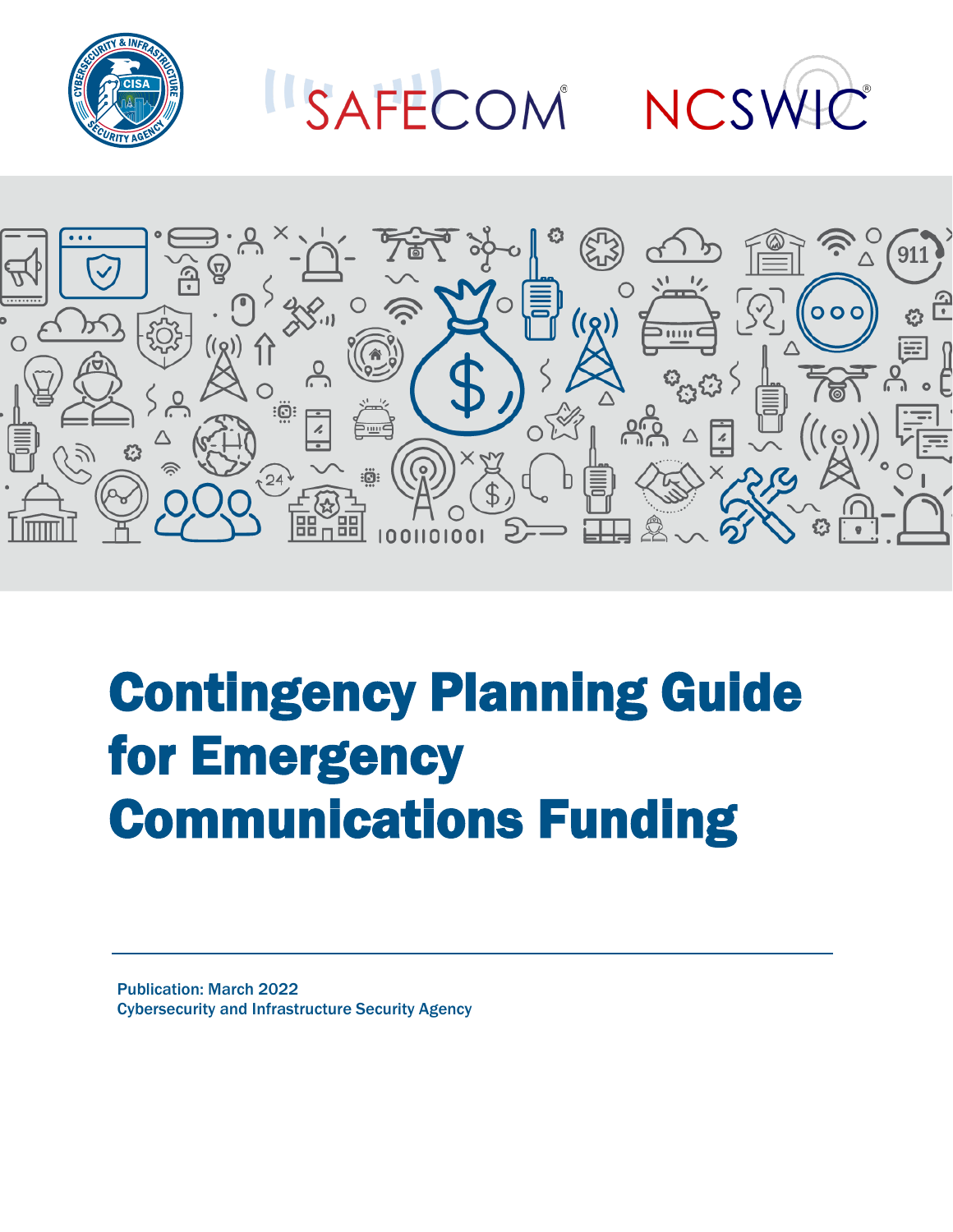

ISAFECOM NCSWIC



# Contingency Planning Guide for Emergency Communications Funding

Publication: March 2022 Cybersecurity and Infrastructure Security Agency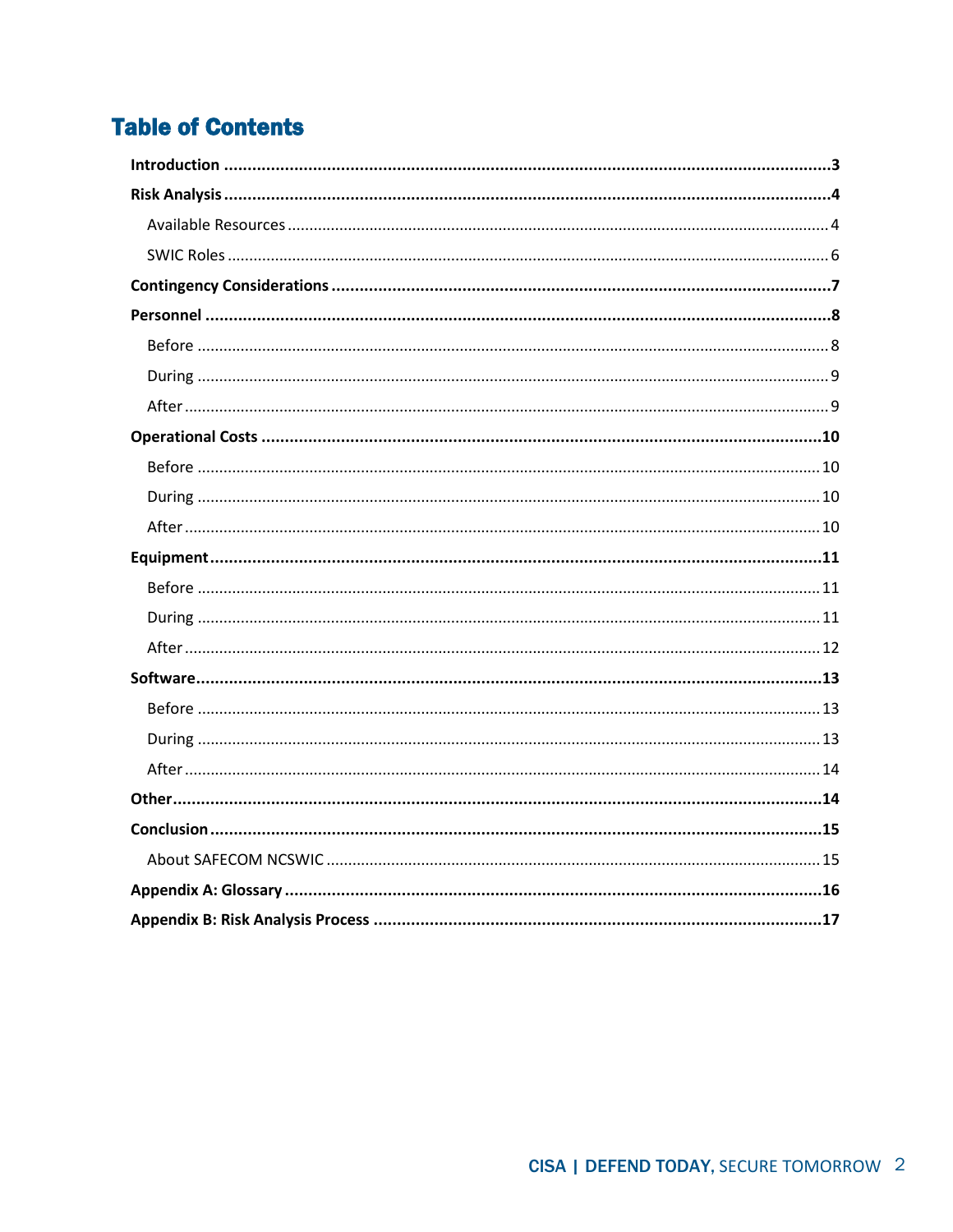# **Table of Contents**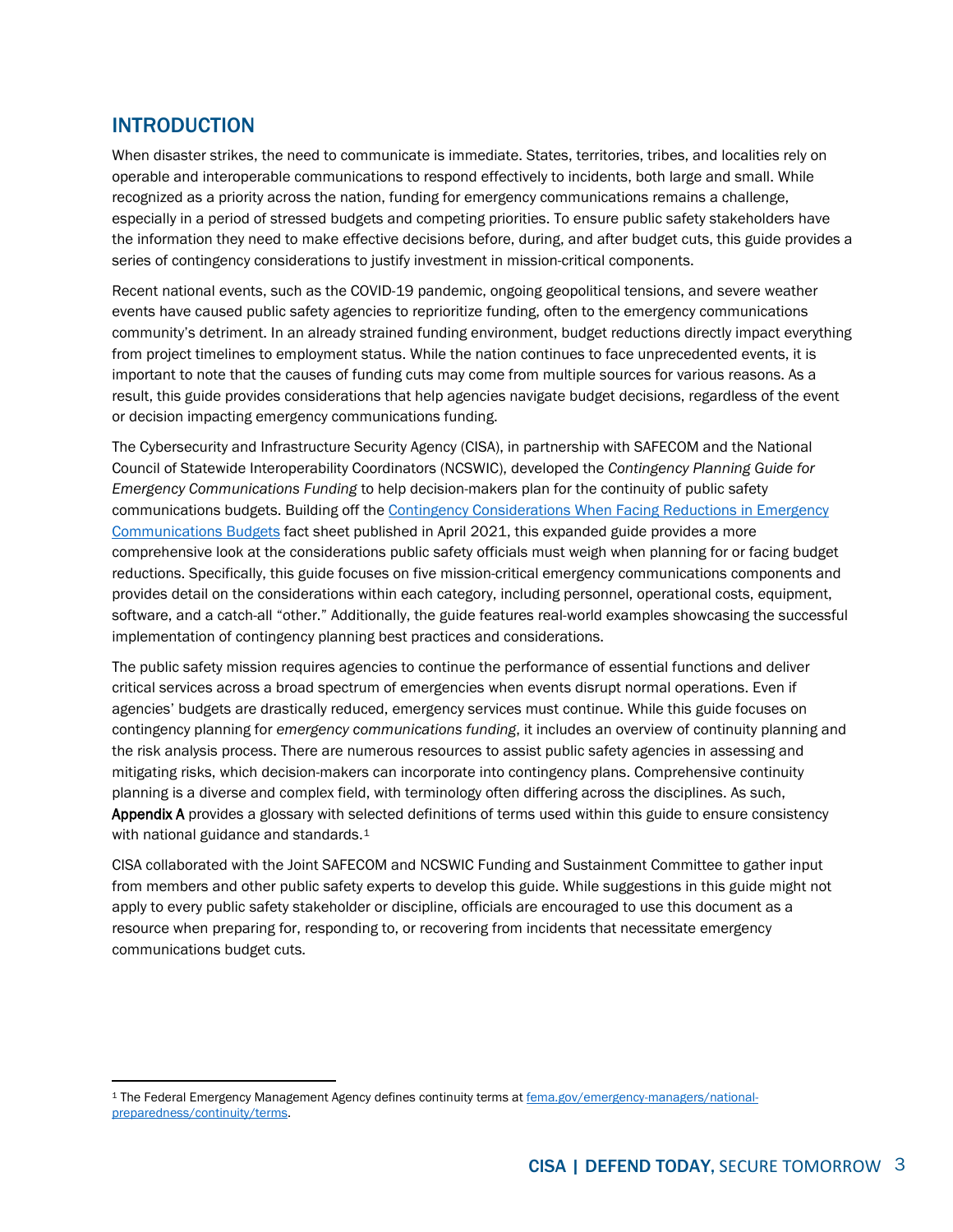## <span id="page-2-0"></span>INTRODUCTION

When disaster strikes, the need to communicate is immediate. States, territories, tribes, and localities rely on operable and interoperable communications to respond effectively to incidents, both large and small. While recognized as a priority across the nation, funding for emergency communications remains a challenge, especially in a period of stressed budgets and competing priorities. To ensure public safety stakeholders have the information they need to make effective decisions before, during, and after budget cuts, this guide provides a series of contingency considerations to justify investment in mission-critical components.

Recent national events, such as the COVID-19 pandemic, ongoing geopolitical tensions, and severe weather events have caused public safety agencies to reprioritize funding, often to the emergency communications community's detriment. In an already strained funding environment, budget reductions directly impact everything from project timelines to employment status. While the nation continues to face unprecedented events, it is important to note that the causes of funding cuts may come from multiple sources for various reasons. As a result, this guide provides considerations that help agencies navigate budget decisions, regardless of the event or decision impacting emergency communications funding.

The Cybersecurity and Infrastructure Security Agency (CISA), in partnership with SAFECOM and the National Council of Statewide Interoperability Coordinators (NCSWIC), developed the *Contingency Planning Guide for Emergency Communications Funding* to help decision-makers plan for the continuity of public safety communications budgets. Building off the [Contingency Considerations When Facing Reductions in Emergency](https://www.cisa.gov/publication/sustaining-public-safety-communications-systems-documents)  [Communications Budgets](https://www.cisa.gov/publication/sustaining-public-safety-communications-systems-documents) fact sheet published in April 2021, this expanded guide provides a more comprehensive look at the considerations public safety officials must weigh when planning for or facing budget reductions. Specifically, this guide focuses on five mission-critical emergency communications components and provides detail on the considerations within each category, including personnel, operational costs, equipment, software, and a catch-all "other." Additionally, the guide features real-world examples showcasing the successful implementation of contingency planning best practices and considerations.

The public safety mission requires agencies to continue the performance of essential functions and deliver critical services across a broad spectrum of emergencies when events disrupt normal operations. Even if agencies' budgets are drastically reduced, emergency services must continue. While this guide focuses on contingency planning for *emergency communications funding*, it includes an overview of continuity planning and the risk analysis process. There are numerous resources to assist public safety agencies in assessing and mitigating risks, which decision-makers can incorporate into contingency plans. Comprehensive continuity planning is a diverse and complex field, with terminology often differing across the disciplines. As such, [Appendix A](#page-15-0) provides a glossary with selected definitions of terms used within this guide to ensure consistency with national guidance and standards.<sup>[1](#page-2-1)</sup>

CISA collaborated with the Joint SAFECOM and NCSWIC Funding and Sustainment Committee to gather input from members and other public safety experts to develop this guide. While suggestions in this guide might not apply to every public safety stakeholder or discipline, officials are encouraged to use this document as a resource when preparing for, responding to, or recovering from incidents that necessitate emergency communications budget cuts.

<span id="page-2-1"></span><sup>1</sup> The Federal Emergency Management Agency defines continuity terms a[t fema.gov/emergency-managers/national](http://www.fema.gov/emergency-managers/national-preparedness/continuity/terms)[preparedness/continuity/terms.](http://www.fema.gov/emergency-managers/national-preparedness/continuity/terms)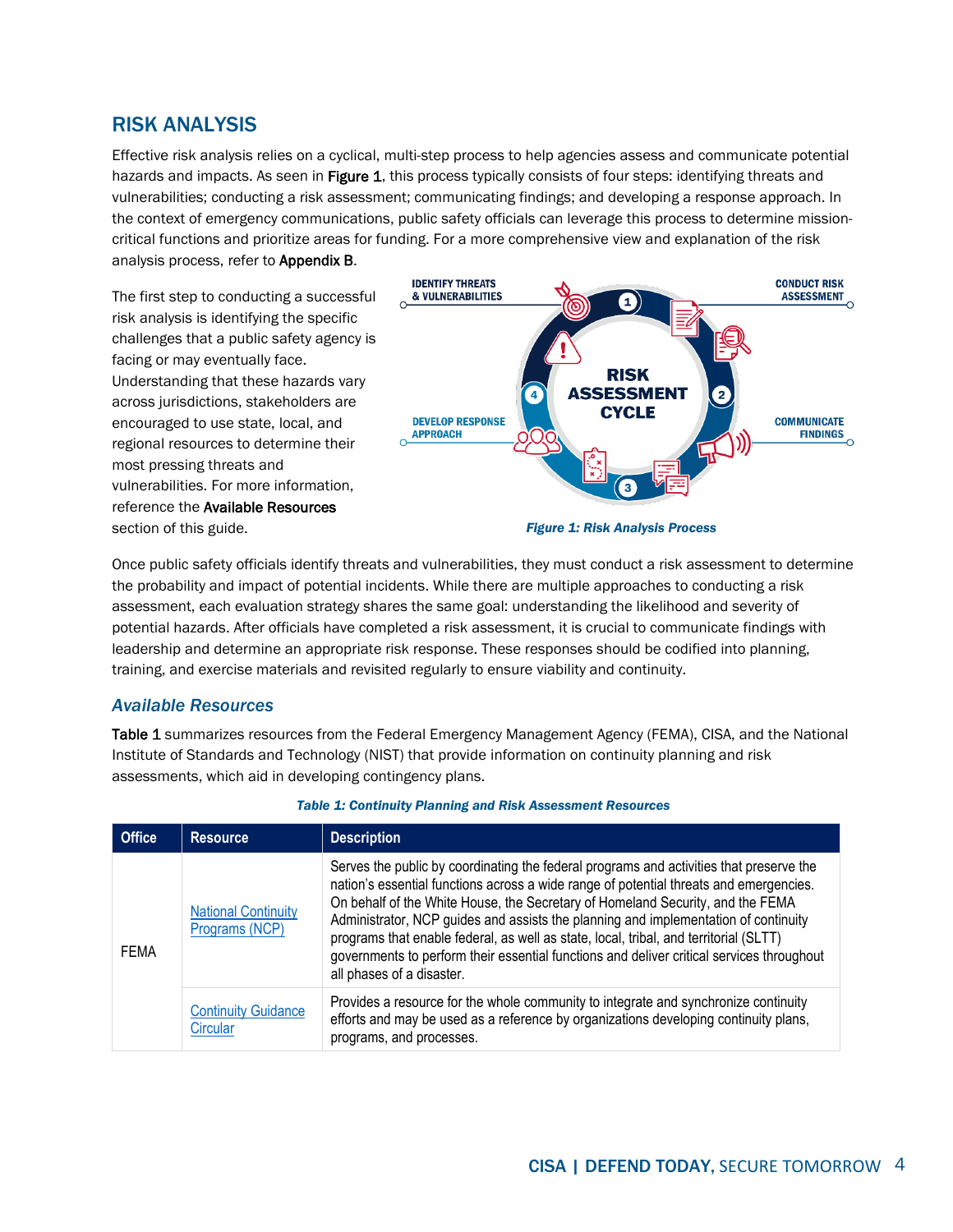# <span id="page-3-4"></span><span id="page-3-0"></span>RISK ANALYSIS

Effective risk analysis relies on a cyclical, multi-step process to help agencies assess and communicate potential hazards and impacts. As seen i[n Figure 1,](#page-3-2) this process typically consists of four steps: identifying threats and vulnerabilities; conducting a risk assessment; communicating findings; and developing a response approach. In the context of emergency communications, public safety officials can leverage this process to determine missioncritical functions and prioritize areas for funding. For a more comprehensive view and explanation of the risk analysis process, refer to [Appendix B.](#page-16-0)

The first step to conducting a successful risk analysis is identifying the specific challenges that a public safety agency is facing or may eventually face. Understanding that these hazards vary across jurisdictions, stakeholders are encouraged to use state, local, and regional resources to determine their most pressing threats and vulnerabilities. For more information, reference the [Available Resources](#page-3-0) section of this guide.

<span id="page-3-2"></span>

Once public safety officials identify threats and vulnerabilities, they must conduct a risk assessment to determine the probability and impact of potential incidents. While there are multiple approaches to conducting a risk assessment, each evaluation strategy shares the same goal: understanding the likelihood and severity of potential hazards. After officials have completed a risk assessment, it is crucial to communicate findings with leadership and determine an appropriate risk response. These responses should be codified into planning, training, and exercise materials and revisited regularly to ensure viability and continuity.

#### <span id="page-3-1"></span>*Available Resources*

[Table 1](#page-3-3) summarizes resources from the Federal Emergency Management Agency (FEMA), CISA, and the National Institute of Standards and Technology (NIST) that provide information on continuity planning and risk assessments, which aid in developing contingency plans.

<span id="page-3-3"></span>

| <b>Office</b> | <b>Resource</b>                              | <b>Description</b>                                                                                                                                                                                                                                                                                                                                                                                                                                                                                                                                                            |
|---------------|----------------------------------------------|-------------------------------------------------------------------------------------------------------------------------------------------------------------------------------------------------------------------------------------------------------------------------------------------------------------------------------------------------------------------------------------------------------------------------------------------------------------------------------------------------------------------------------------------------------------------------------|
| <b>FEMA</b>   | <b>National Continuity</b><br>Programs (NCP) | Serves the public by coordinating the federal programs and activities that preserve the<br>nation's essential functions across a wide range of potential threats and emergencies.<br>On behalf of the White House, the Secretary of Homeland Security, and the FEMA<br>Administrator, NCP guides and assists the planning and implementation of continuity<br>programs that enable federal, as well as state, local, tribal, and territorial (SLTT)<br>governments to perform their essential functions and deliver critical services throughout<br>all phases of a disaster. |
|               | <b>Continuity Guidance</b><br>Circular       | Provides a resource for the whole community to integrate and synchronize continuity<br>efforts and may be used as a reference by organizations developing continuity plans,<br>programs, and processes.                                                                                                                                                                                                                                                                                                                                                                       |

#### *Table 1: Continuity Planning and Risk Assessment Resources*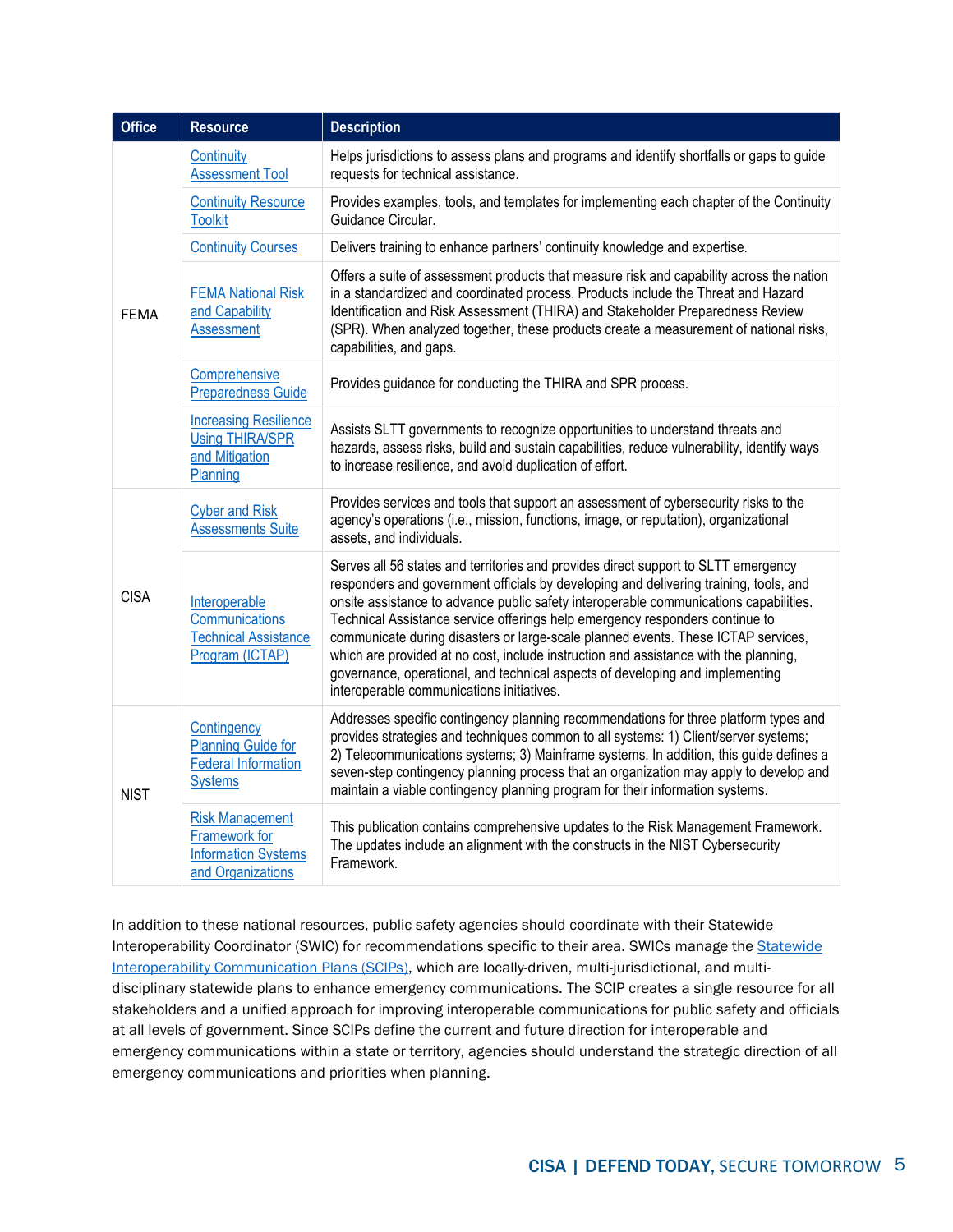| <b>Office</b> | <b>Resource</b>                                                                            | <b>Description</b>                                                                                                                                                                                                                                                                                                                                                                                                                                                                                                                                                                                                                                              |  |  |
|---------------|--------------------------------------------------------------------------------------------|-----------------------------------------------------------------------------------------------------------------------------------------------------------------------------------------------------------------------------------------------------------------------------------------------------------------------------------------------------------------------------------------------------------------------------------------------------------------------------------------------------------------------------------------------------------------------------------------------------------------------------------------------------------------|--|--|
| <b>FEMA</b>   | Continuity<br><b>Assessment Tool</b>                                                       | Helps jurisdictions to assess plans and programs and identify shortfalls or gaps to guide<br>requests for technical assistance.                                                                                                                                                                                                                                                                                                                                                                                                                                                                                                                                 |  |  |
|               | <b>Continuity Resource</b><br><b>Toolkit</b>                                               | Provides examples, tools, and templates for implementing each chapter of the Continuity<br>Guidance Circular.                                                                                                                                                                                                                                                                                                                                                                                                                                                                                                                                                   |  |  |
|               | <b>Continuity Courses</b>                                                                  | Delivers training to enhance partners' continuity knowledge and expertise.                                                                                                                                                                                                                                                                                                                                                                                                                                                                                                                                                                                      |  |  |
|               | <b>FEMA National Risk</b><br>and Capability<br><b>Assessment</b>                           | Offers a suite of assessment products that measure risk and capability across the nation<br>in a standardized and coordinated process. Products include the Threat and Hazard<br>Identification and Risk Assessment (THIRA) and Stakeholder Preparedness Review<br>(SPR). When analyzed together, these products create a measurement of national risks,<br>capabilities, and gaps.                                                                                                                                                                                                                                                                             |  |  |
|               | Comprehensive<br><b>Preparedness Guide</b>                                                 | Provides guidance for conducting the THIRA and SPR process.                                                                                                                                                                                                                                                                                                                                                                                                                                                                                                                                                                                                     |  |  |
|               | <b>Increasing Resilience</b><br><b>Using THIRA/SPR</b><br>and Mitigation<br>Planning       | Assists SLTT governments to recognize opportunities to understand threats and<br>hazards, assess risks, build and sustain capabilities, reduce vulnerability, identify ways<br>to increase resilience, and avoid duplication of effort.                                                                                                                                                                                                                                                                                                                                                                                                                         |  |  |
| <b>CISA</b>   | <b>Cyber and Risk</b><br><b>Assessments Suite</b>                                          | Provides services and tools that support an assessment of cybersecurity risks to the<br>agency's operations (i.e., mission, functions, image, or reputation), organizational<br>assets, and individuals.                                                                                                                                                                                                                                                                                                                                                                                                                                                        |  |  |
|               | Interoperable<br>Communications<br><b>Technical Assistance</b><br>Program (ICTAP)          | Serves all 56 states and territories and provides direct support to SLTT emergency<br>responders and government officials by developing and delivering training, tools, and<br>onsite assistance to advance public safety interoperable communications capabilities.<br>Technical Assistance service offerings help emergency responders continue to<br>communicate during disasters or large-scale planned events. These ICTAP services,<br>which are provided at no cost, include instruction and assistance with the planning,<br>governance, operational, and technical aspects of developing and implementing<br>interoperable communications initiatives. |  |  |
| <b>NIST</b>   | Contingency<br><b>Planning Guide for</b><br><b>Federal Information</b><br><b>Systems</b>   | Addresses specific contingency planning recommendations for three platform types and<br>provides strategies and techniques common to all systems: 1) Client/server systems;<br>2) Telecommunications systems; 3) Mainframe systems. In addition, this guide defines a<br>seven-step contingency planning process that an organization may apply to develop and<br>maintain a viable contingency planning program for their information systems.                                                                                                                                                                                                                 |  |  |
|               | <b>Risk Management</b><br>Framework for<br><b>Information Systems</b><br>and Organizations | This publication contains comprehensive updates to the Risk Management Framework.<br>The updates include an alignment with the constructs in the NIST Cybersecurity<br>Framework.                                                                                                                                                                                                                                                                                                                                                                                                                                                                               |  |  |

In addition to these national resources, public safety agencies should coordinate with their Statewide Interoperability Coordinator (SWIC) for recommendations specific to their area. SWICs manage the Statewide [Interoperability Communication Plans \(SCIPs\),](https://www.cisa.gov/statewide-communication-interoperability-plans) which are locally-driven, multi-jurisdictional, and multidisciplinary statewide plans to enhance emergency communications. The SCIP creates a single resource for all stakeholders and a unified approach for improving interoperable communications for public safety and officials at all levels of government. Since SCIPs define the current and future direction for interoperable and emergency communications within a state or territory, agencies should understand the strategic direction of all emergency communications and priorities when planning.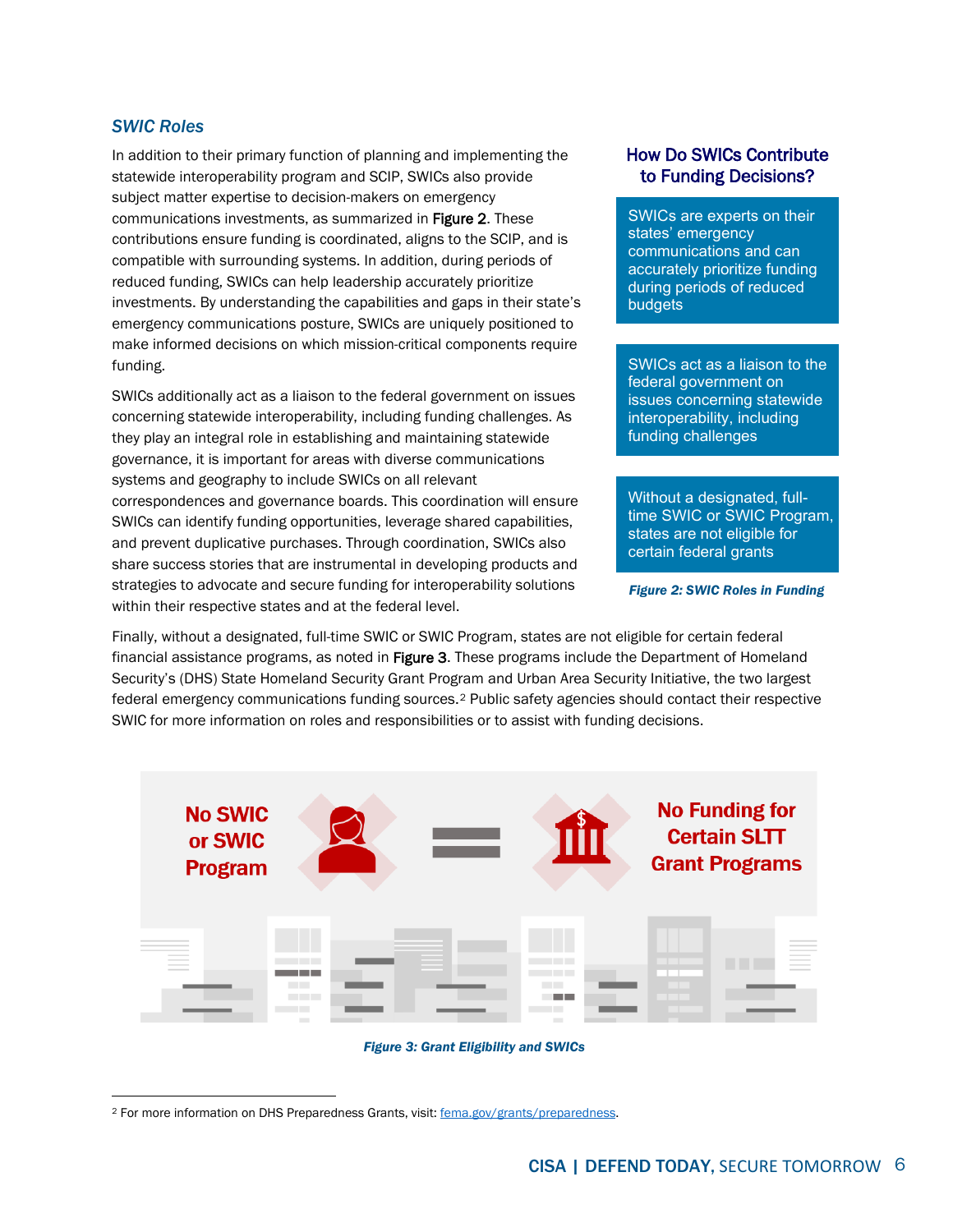#### <span id="page-5-0"></span>*SWIC Roles*

In addition to their primary function of planning and implementing the statewide interoperability program and SCIP, SWICs also provide subject matter expertise to decision-makers on emergency communications investments, as summarized in [Figure 2.](#page-5-1) These contributions ensure funding is coordinated, aligns to the SCIP, and is compatible with surrounding systems. In addition, during periods of reduced funding, SWICs can help leadership accurately prioritize investments. By understanding the capabilities and gaps in their state's emergency communications posture, SWICs are uniquely positioned to make informed decisions on which mission-critical components require funding.

SWICs additionally act as a liaison to the federal government on issues concerning statewide interoperability, including funding challenges. As they play an integral role in establishing and maintaining statewide governance, it is important for areas with diverse communications systems and geography to include SWICs on all relevant correspondences and governance boards. This coordination will ensure SWICs can identify funding opportunities, leverage shared capabilities, and prevent duplicative purchases. Through coordination, SWICs also share success stories that are instrumental in developing products and strategies to advocate and secure funding for interoperability solutions within their respective states and at the federal level.

#### How Do SWICs Contribute to Funding Decisions?

SWICs are experts on their states' emergency communications and can accurately prioritize funding during periods of reduced budgets

SWICs act as a liaison to the federal government on issues concerning statewide interoperability, including funding challenges

Without a designated, fulltime SWIC or SWIC Program, states are not eligible for certain federal grants

<span id="page-5-1"></span>*Figure 2: SWIC Roles in Funding*

Finally, without a designated, full-time SWIC or SWIC Program, states are not eligible for certain federal financial assistance programs, as noted in [Figure 3.](#page-5-2) These programs include the Department of Homeland Security's (DHS) State Homeland Security Grant Program and Urban Area Security Initiative, the two largest federal emergency communications funding sources.[2](#page-5-3) Public safety agencies should contact their respective SWIC for more information on roles and responsibilities or to assist with funding decisions.



*Figure 3: Grant Eligibility and SWICs*

<span id="page-5-3"></span><span id="page-5-2"></span><sup>2</sup> For more information on DHS Preparedness Grants, visit: [fema.gov/grants/preparedness.](https://www.fema.gov/grants/preparedness)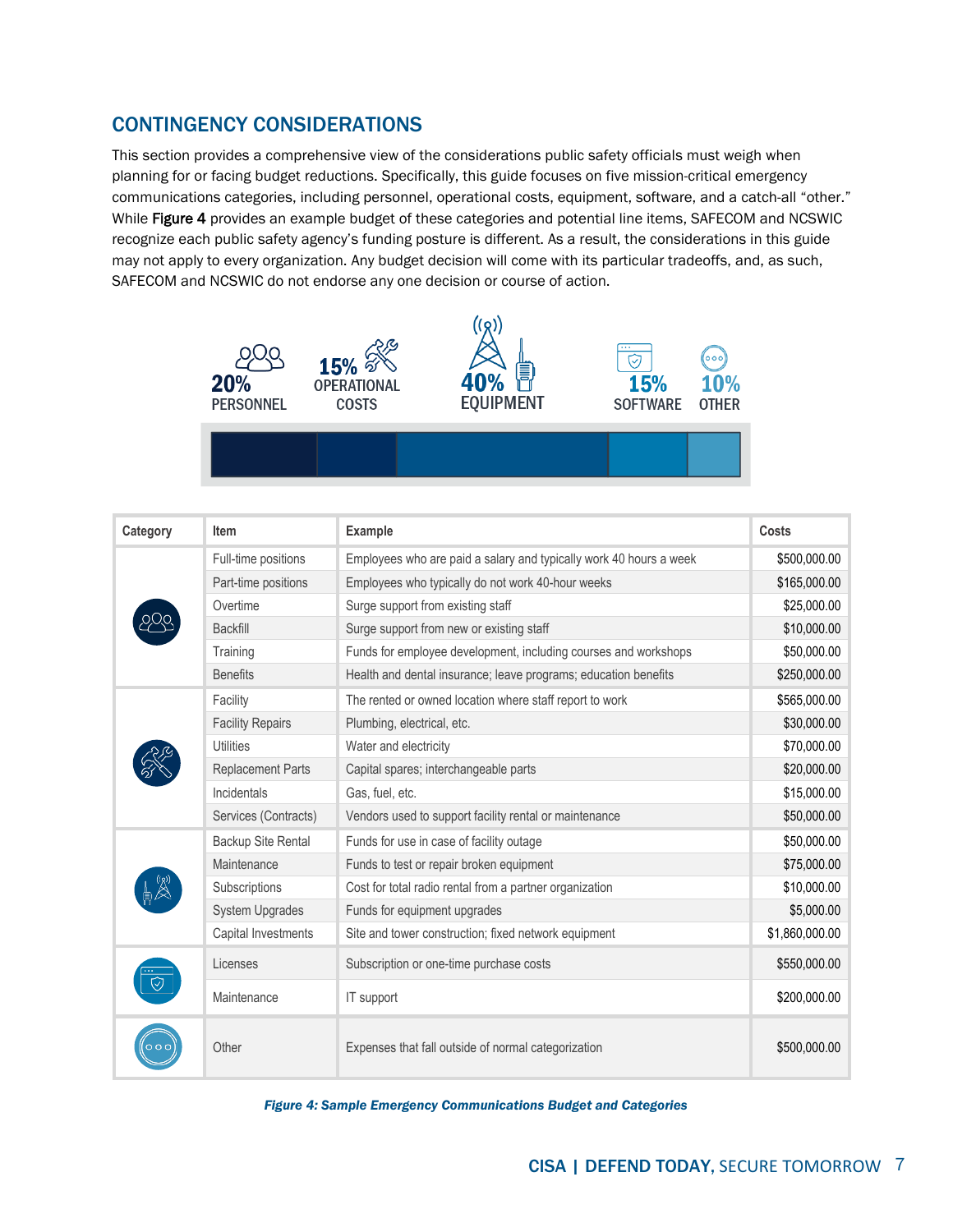# <span id="page-6-0"></span>CONTINGENCY CONSIDERATIONS

This section provides a comprehensive view of the considerations public safety officials must weigh when planning for or facing budget reductions. Specifically, this guide focuses on five mission-critical emergency communications categories, including personnel, operational costs, equipment, software, and a catch-all "other." While [Figure 4](#page-6-1) provides an example budget of these categories and potential line items, SAFECOM and NCSWIC recognize each public safety agency's funding posture is different. As a result, the considerations in this guide may not apply to every organization. Any budget decision will come with its particular tradeoffs, and, as such, SAFECOM and NCSWIC do not endorse any one decision or course of action.



| Category | Item                     | <b>Example</b>                                                     | Costs          |
|----------|--------------------------|--------------------------------------------------------------------|----------------|
|          | Full-time positions      | Employees who are paid a salary and typically work 40 hours a week | \$500,000.00   |
|          | Part-time positions      | Employees who typically do not work 40-hour weeks                  | \$165,000.00   |
|          | Overtime                 | Surge support from existing staff                                  | \$25,000.00    |
|          | <b>Backfill</b>          | Surge support from new or existing staff                           | \$10,000.00    |
|          | Training                 | Funds for employee development, including courses and workshops    | \$50,000.00    |
|          | <b>Benefits</b>          | Health and dental insurance; leave programs; education benefits    | \$250,000.00   |
|          | Facility                 | The rented or owned location where staff report to work            | \$565,000.00   |
|          | <b>Facility Repairs</b>  | Plumbing, electrical, etc.                                         | \$30,000.00    |
|          | <b>Utilities</b>         | Water and electricity                                              | \$70,000.00    |
|          | <b>Replacement Parts</b> | Capital spares; interchangeable parts                              | \$20,000.00    |
|          | Incidentals              | Gas, fuel, etc.                                                    | \$15,000.00    |
|          | Services (Contracts)     | Vendors used to support facility rental or maintenance             | \$50,000.00    |
|          | Backup Site Rental       | Funds for use in case of facility outage                           | \$50,000.00    |
|          | Maintenance              | Funds to test or repair broken equipment                           | \$75,000.00    |
|          | Subscriptions            | Cost for total radio rental from a partner organization            | \$10,000.00    |
|          | <b>System Upgrades</b>   | Funds for equipment upgrades                                       | \$5,000.00     |
|          | Capital Investments      | Site and tower construction; fixed network equipment               | \$1,860,000.00 |
|          | Licenses                 | Subscription or one-time purchase costs                            | \$550,000.00   |
|          | Maintenance              | IT support                                                         | \$200,000.00   |
|          | Other                    | Expenses that fall outside of normal categorization                | \$500,000.00   |

<span id="page-6-1"></span>*Figure 4: Sample Emergency Communications Budget and Categories*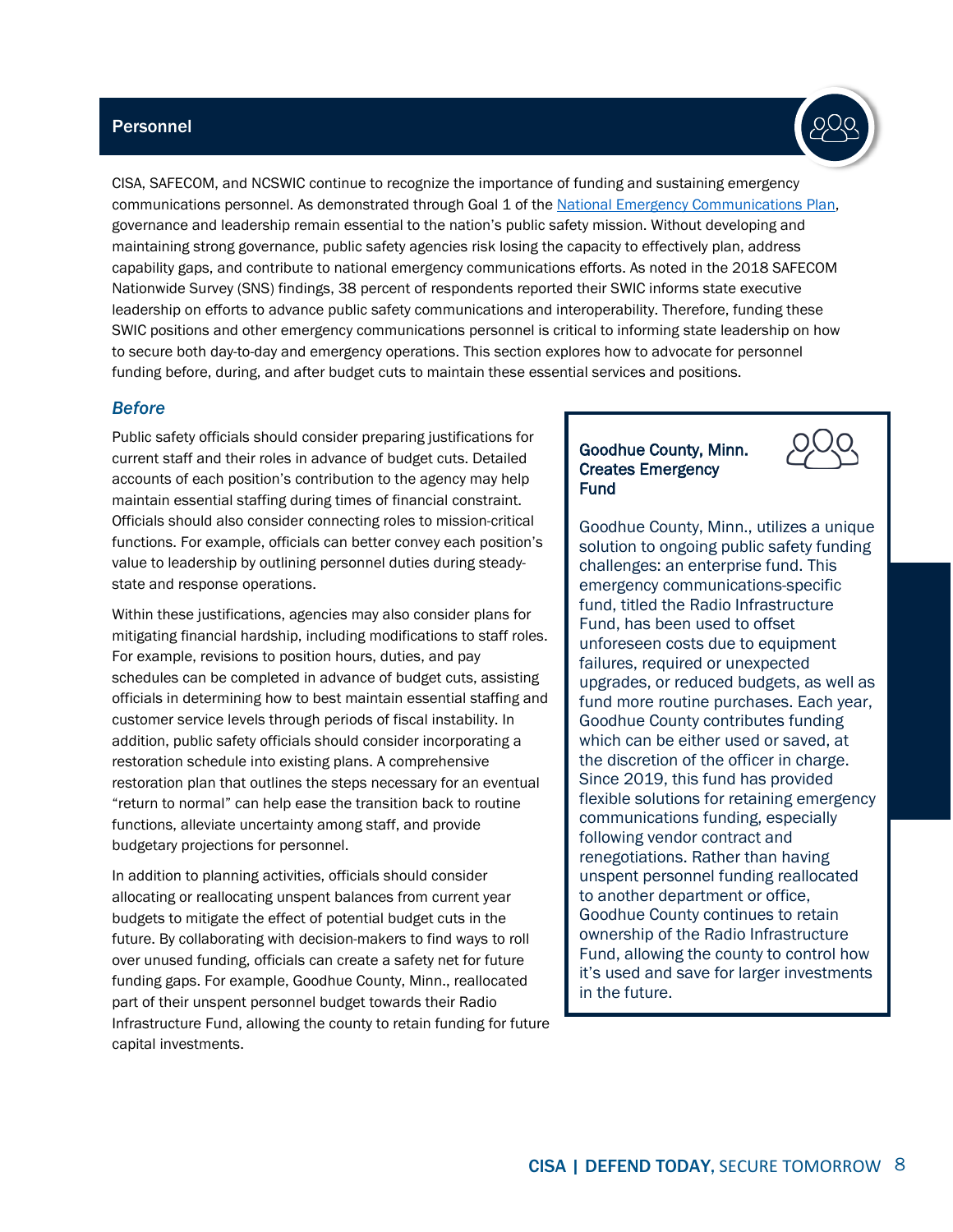#### <span id="page-7-0"></span>**Personnel**



CISA, SAFECOM, and NCSWIC continue to recognize the importance of funding and sustaining emergency communications personnel. As demonstrated through Goal 1 of the [National Emergency Communications Plan,](https://www.cisa.gov/necp) governance and leadership remain essential to the nation's public safety mission. Without developing and maintaining strong governance, public safety agencies risk losing the capacity to effectively plan, address capability gaps, and contribute to national emergency communications efforts. As noted in the 2018 SAFECOM Nationwide Survey (SNS) findings, 38 percent of respondents reported their SWIC informs state executive leadership on efforts to advance public safety communications and interoperability. Therefore, funding these SWIC positions and other emergency communications personnel is critical to informing state leadership on how to secure both day-to-day and emergency operations. This section explores how to advocate for personnel funding before, during, and after budget cuts to maintain these essential services and positions.

#### <span id="page-7-1"></span>*Before*

Public safety officials should consider preparing justifications for current staff and their roles in advance of budget cuts. Detailed accounts of each position's contribution to the agency may help maintain essential staffing during times of financial constraint. Officials should also consider connecting roles to mission-critical functions. For example, officials can better convey each position's value to leadership by outlining personnel duties during steadystate and response operations.

Within these justifications, agencies may also consider plans for mitigating financial hardship, including modifications to staff roles. For example, revisions to position hours, duties, and pay schedules can be completed in advance of budget cuts, assisting officials in determining how to best maintain essential staffing and customer service levels through periods of fiscal instability. In addition, public safety officials should consider incorporating a restoration schedule into existing plans. A comprehensive restoration plan that outlines the steps necessary for an eventual "return to normal" can help ease the transition back to routine functions, alleviate uncertainty among staff, and provide budgetary projections for personnel.

In addition to planning activities, officials should consider allocating or reallocating unspent balances from current year budgets to mitigate the effect of potential budget cuts in the future. By collaborating with decision-makers to find ways to roll over unused funding, officials can create a safety net for future funding gaps. For example, Goodhue County, Minn., reallocated part of their unspent personnel budget towards their Radio Infrastructure Fund, allowing the county to retain funding for future capital investments.

#### Goodhue County, Minn. Creates Emergency Fund



Goodhue County, Minn., utilizes a unique solution to ongoing public safety funding challenges: an enterprise fund. This emergency communications-specific fund, titled the Radio Infrastructure Fund, has been used to offset unforeseen costs due to equipment failures, required or unexpected upgrades, or reduced budgets, as well as fund more routine purchases. Each year, Goodhue County contributes funding which can be either used or saved, at the discretion of the officer in charge. Since 2019, this fund has provided flexible solutions for retaining emergency communications funding, especially following vendor contract and renegotiations. Rather than having unspent personnel funding reallocated to another department or office, Goodhue County continues to retain ownership of the Radio Infrastructure Fund, allowing the county to control how it's used and save for larger investments in the future.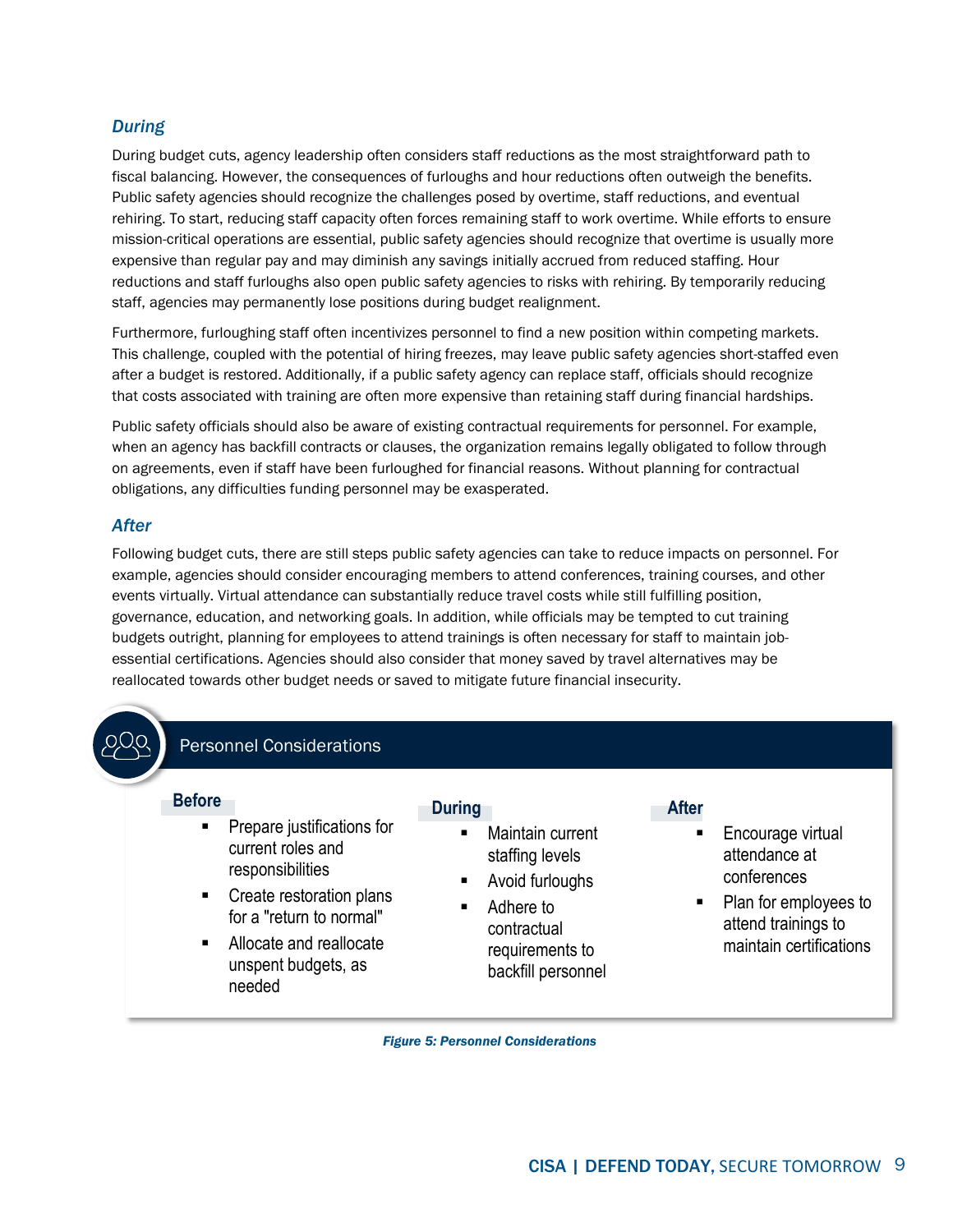#### <span id="page-8-0"></span>*During*

During budget cuts, agency leadership often considers staff reductions as the most straightforward path to fiscal balancing. However, the consequences of furloughs and hour reductions often outweigh the benefits. Public safety agencies should recognize the challenges posed by overtime, staff reductions, and eventual rehiring. To start, reducing staff capacity often forces remaining staff to work overtime. While efforts to ensure mission-critical operations are essential, public safety agencies should recognize that overtime is usually more expensive than regular pay and may diminish any savings initially accrued from reduced staffing. Hour reductions and staff furloughs also open public safety agencies to risks with rehiring. By temporarily reducing staff, agencies may permanently lose positions during budget realignment.

Furthermore, furloughing staff often incentivizes personnel to find a new position within competing markets. This challenge, coupled with the potential of hiring freezes, may leave public safety agencies short-staffed even after a budget is restored. Additionally, if a public safety agency can replace staff, officials should recognize that costs associated with training are often more expensive than retaining staff during financial hardships.

Public safety officials should also be aware of existing contractual requirements for personnel. For example, when an agency has backfill contracts or clauses, the organization remains legally obligated to follow through on agreements, even if staff have been furloughed for financial reasons. Without planning for contractual obligations, any difficulties funding personnel may be exasperated.

#### <span id="page-8-1"></span>*After*

Following budget cuts, there are still steps public safety agencies can take to reduce impacts on personnel. For example, agencies should consider encouraging members to attend conferences, training courses, and other events virtually. Virtual attendance can substantially reduce travel costs while still fulfilling position, governance, education, and networking goals. In addition, while officials may be tempted to cut training budgets outright, planning for employees to attend trainings is often necessary for staff to maintain jobessential certifications. Agencies should also consider that money saved by travel alternatives may be reallocated towards other budget needs or saved to mitigate future financial insecurity.



*Figure 5: Personnel Considerations*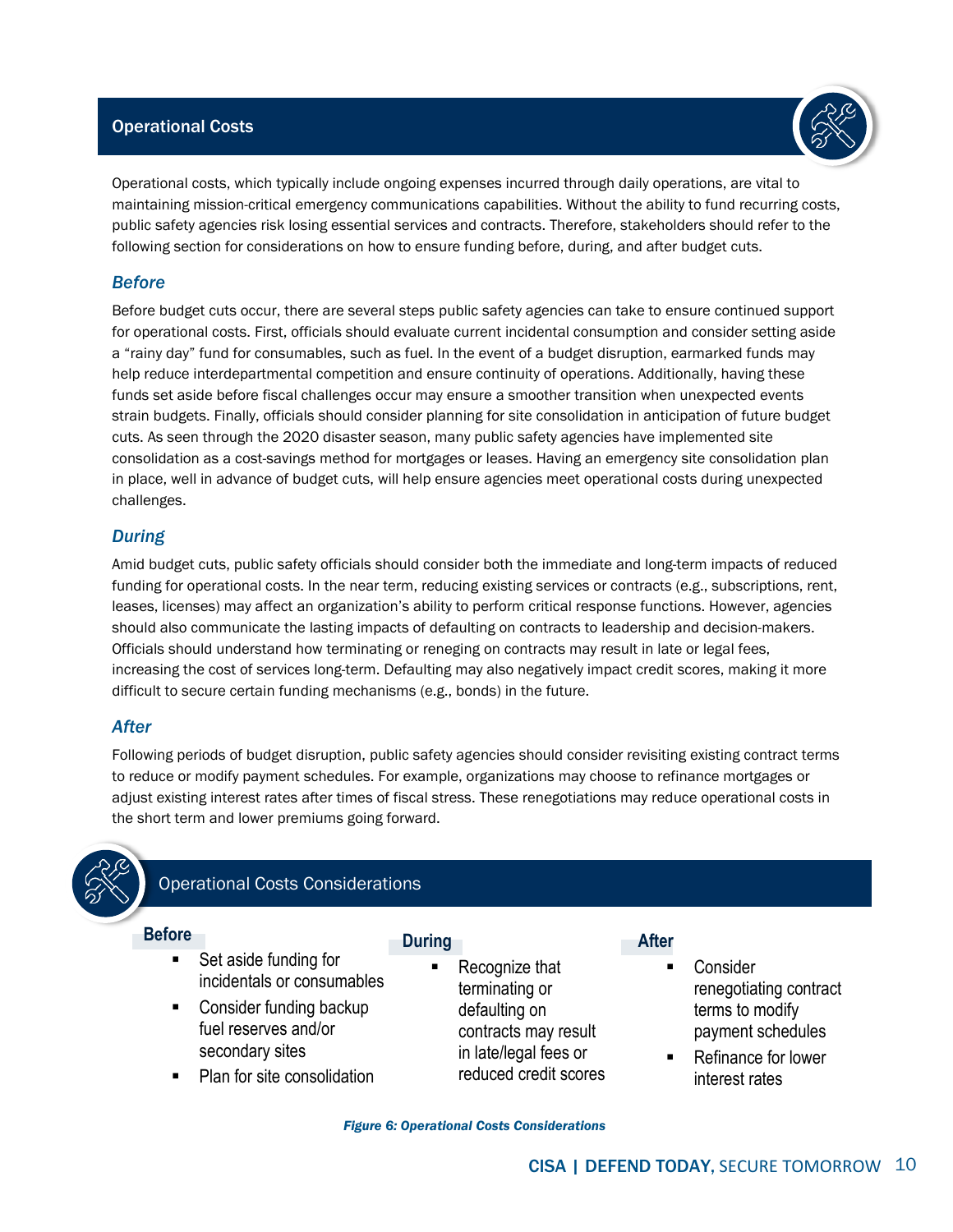#### <span id="page-9-0"></span>Operational Costs



Operational costs, which typically include ongoing expenses incurred through daily operations, are vital to maintaining mission-critical emergency communications capabilities. Without the ability to fund recurring costs, public safety agencies risk losing essential services and contracts. Therefore, stakeholders should refer to the following section for considerations on how to ensure funding before, during, and after budget cuts.

#### <span id="page-9-1"></span>*Before*

Before budget cuts occur, there are several steps public safety agencies can take to ensure continued support for operational costs. First, officials should evaluate current incidental consumption and consider setting aside a "rainy day" fund for consumables, such as fuel. In the event of a budget disruption, earmarked funds may help reduce interdepartmental competition and ensure continuity of operations. Additionally, having these funds set aside before fiscal challenges occur may ensure a smoother transition when unexpected events strain budgets. Finally, officials should consider planning for site consolidation in anticipation of future budget cuts. As seen through the 2020 disaster season, many public safety agencies have implemented site consolidation as a cost-savings method for mortgages or leases. Having an emergency site consolidation plan in place, well in advance of budget cuts, will help ensure agencies meet operational costs during unexpected challenges.

#### <span id="page-9-2"></span>*During*

Amid budget cuts, public safety officials should consider both the immediate and long-term impacts of reduced funding for operational costs. In the near term, reducing existing services or contracts (e.g., subscriptions, rent, leases, licenses) may affect an organization's ability to perform critical response functions. However, agencies should also communicate the lasting impacts of defaulting on contracts to leadership and decision-makers. Officials should understand how terminating or reneging on contracts may result in late or legal fees, increasing the cost of services long-term. Defaulting may also negatively impact credit scores, making it more difficult to secure certain funding mechanisms (e.g., bonds) in the future.

#### <span id="page-9-3"></span>*After*

Following periods of budget disruption, public safety agencies should consider revisiting existing contract terms to reduce or modify payment schedules. For example, organizations may choose to refinance mortgages or adjust existing interest rates after times of fiscal stress. These renegotiations may reduce operational costs in the short term and lower premiums going forward.



## Operational Costs Considerations

#### **Before**

 Set aside funding for incidentals or consumables

- Consider funding backup fuel reserves and/or secondary sites
- Plan for site consolidation

**During**

 Recognize that terminating or defaulting on contracts may result in late/legal fees or reduced credit scores

#### **After**

- Consider renegotiating contract terms to modify payment schedules
- Refinance for lower interest rates

*Figure 6: Operational Costs Considerations*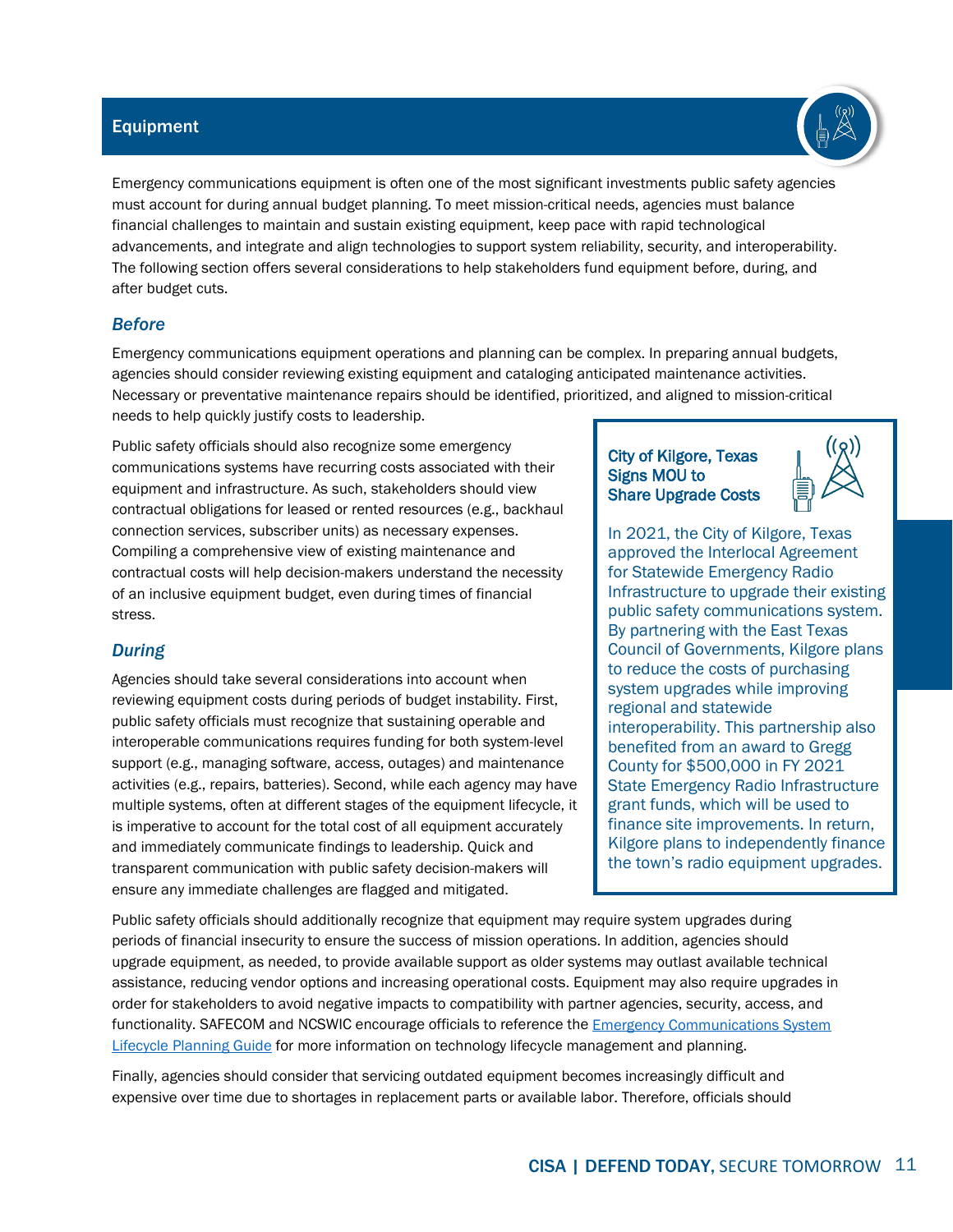#### **INTRODUCTION**

When disaster stries, the need to communicate is immediate States, territories, tribes, and localities rely on operable and interoperable communications to respond effectiely to incidents, both large and small While recognied as a priority across the nation, funding for emergency communications remains a challenge, especially in a period of stressed budgets and competing priorities To ensure public safety staeholders hae the information they need to mae effectie decisions before, during, and after budget cuts, this guide proides a series of contingency considerations to ustify inestment in mission critical components

Recent national eents, such as the COID pandemic, ongoing geopolitical tensions, and seere weather eents hae caused publi c safety agencies to reprioritie funding, often to the emergency communications communitys detriment In an already strained funding enironment, budget reductions directly impact eerything from proect timelines to employment status While the nation continues to face unprecedented eents, it is important to note that the causes of funding cuts may come from multiple sources for arious reasons As a result, this guide proides considerations that help agencies naigate budget decisions, regardless of the eent or decision impacting emergency communications funding

The Cybersecurity and Infrastructure Security Agency CISA, in partnership with SAFECOM and the National Council of Statewide Interoperability Coordinators NCSWIC, deeloped the Contingenc lanning uie for ergenc Counications uning to help decision maers plan for the continuity of public safety communications budgets Building off the Contingency Considerations When Facing Reductions in Emergency Communications Budgets fact sheet published in April 202, this epanded guide proides a more comprehensie loo at the considerations public safety officials must weigh when planning for or facing budget reductions Specifically, this guide focuses on fie m ission critical emergency communications components and proides detail on the considerations within each category, including personnel, operational costs, equipment, software, and a catch all other Additionally, the guide features realworld eamples s howcasing the successful implementation of contingency planning best practices and considerations

The public safety mission requires agencies to continuethe performance of essential functions and delier critical serices across a broad spectrum of emergencies when eents disrupt normal operations Een if agencies budgets are drastically reduced, emergency serices must continue While this guide focuses on contingency planning for eergenc counications funing , it includes an oeriew of continuity planning and the ris analysis process There are numerous resources to assist public safety agencies in assessing and mitigatingriss, which decision maers can incorporate into contingency plans Comprehensie c ontinuity planning is a dierse and comple field, with terminology often differing across the disciplines As such, Appendi A proides a glossary with selected definitions of terms used within this guideto ensure consistency with national guidance and standards

CISA collaborated with the oint SAFECOM and NCSWIC Funding and Sustainment Committee to gather input from members and other public safety eperts to deelop this guide While suggestions in this guide might not apply to eery public safety staeholder or discipline, officials are encouraged to use this document as a resource when preparing for, responding to, or recoering from incidents that necessitate emergency communications budget cuts

The Federal Emergency Management Agency defines continuity terms atfemagoemergency managersnational preparednesscontinuityterms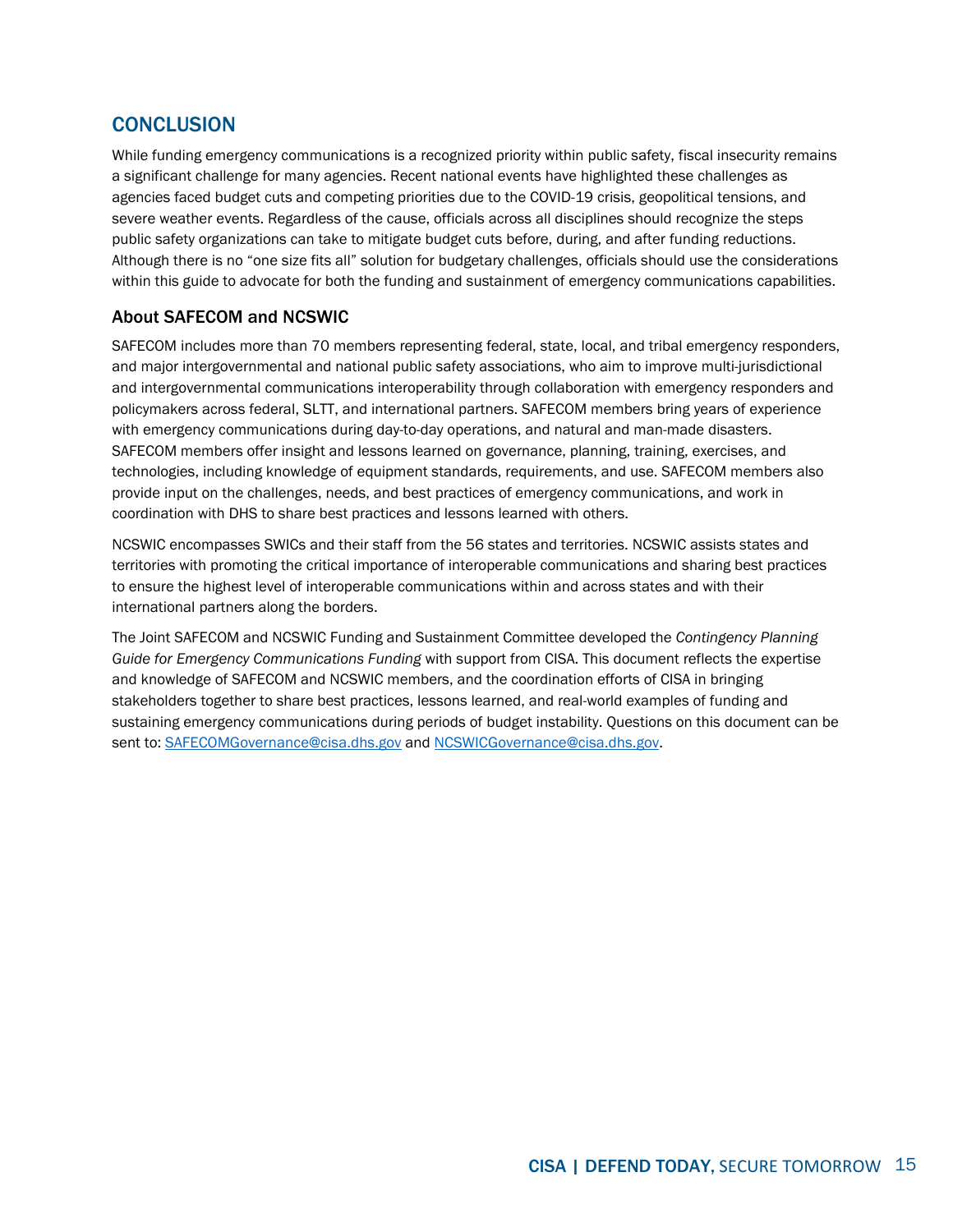# ale of Contents

| Introduction                      |
|-----------------------------------|
| is nalysis                        |
|                                   |
|                                   |
| <b>Contingency Considerations</b> |
| Personnel                         |
|                                   |
|                                   |
|                                   |
| perational Costs                  |
|                                   |
|                                   |
|                                   |
| uipment                           |
|                                   |
|                                   |
|                                   |
| Software                          |
|                                   |
|                                   |
|                                   |
| ther                              |
| Conclusion                        |
|                                   |
| ppendix lossary                   |
| ppendix is nalysis Process        |